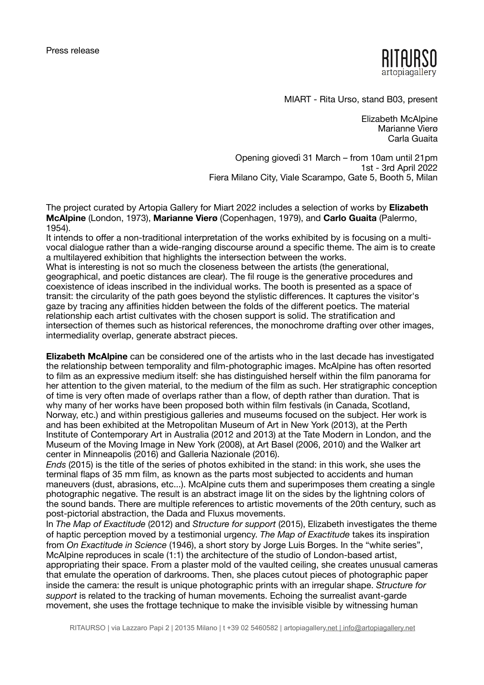

MIART - Rita Urso, stand B03, present

Elizabeth McAlpine Marianne Vierø Carla Guaita

 Opening giovedì 31 March – from 10am until 21pm 1st - 3rd April 2022 Fiera Milano City, Viale Scarampo, Gate 5, Booth 5, Milan

The project curated by Artopia Gallery for Miart 2022 includes a selection of works by **Elizabeth McAlpine** (London, 1973), **Marianne Vierø** (Copenhagen, 1979), and **Carlo Guaita** (Palermo, 1954).

It intends to offer a non-traditional interpretation of the works exhibited by is focusing on a multivocal dialogue rather than a wide-ranging discourse around a specific theme. The aim is to create a multilayered exhibition that highlights the intersection between the works.

What is interesting is not so much the closeness between the artists (the generational, geographical, and poetic distances are clear). The fil rouge is the generative procedures and coexistence of ideas inscribed in the individual works. The booth is presented as a space of transit: the circularity of the path goes beyond the stylistic differences. It captures the visitor's gaze by tracing any affinities hidden between the folds of the different poetics. The material relationship each artist cultivates with the chosen support is solid. The stratification and intersection of themes such as historical references, the monochrome drafting over other images, intermediality overlap, generate abstract pieces.

**Elizabeth McAlpine** can be considered one of the artists who in the last decade has investigated the relationship between temporality and film-photographic images. McAlpine has often resorted to film as an expressive medium itself: she has distinguished herself within the film panorama for her attention to the given material, to the medium of the film as such. Her stratigraphic conception of time is very often made of overlaps rather than a flow, of depth rather than duration. That is why many of her works have been proposed both within film festivals (in Canada, Scotland, Norway, etc.) and within prestigious galleries and museums focused on the subject. Her work is and has been exhibited at the Metropolitan Museum of Art in New York (2013), at the Perth Institute of Contemporary Art in Australia (2012 and 2013) at the Tate Modern in London, and the Museum of the Moving Image in New York (2008), at Art Basel (2006, 2010) and the Walker art center in Minneapolis (2016) and Galleria Nazionale (2016).

*Ends* (2015) is the title of the series of photos exhibited in the stand: in this work, she uses the terminal flaps of 35 mm film, as known as the parts most subjected to accidents and human maneuvers (dust, abrasions, etc...). McAlpine cuts them and superimposes them creating a single photographic negative. The result is an abstract image lit on the sides by the lightning colors of the sound bands. There are multiple references to artistic movements of the 20th century, such as post-pictorial abstraction, the Dada and Fluxus movements.

In *The Map of Exactitude* (2012) and *Structure for support* (2015), Elizabeth investigates the theme of haptic perception moved by a testimonial urgency. *The Map of Exactitude* takes its inspiration from *On Exactitude in Science* (1946), a short story by Jorge Luis Borges. In the "white series", McAlpine reproduces in scale (1:1) the architecture of the studio of London-based artist, appropriating their space. From a plaster mold of the vaulted ceiling, she creates unusual cameras that emulate the operation of darkrooms. Then, she places cutout pieces of photographic paper inside the camera: the result is unique photographic prints with an irregular shape. *Structure for support* is related to the tracking of human movements. Echoing the surrealist avant-garde movement, she uses the frottage technique to make the invisible visible by witnessing human